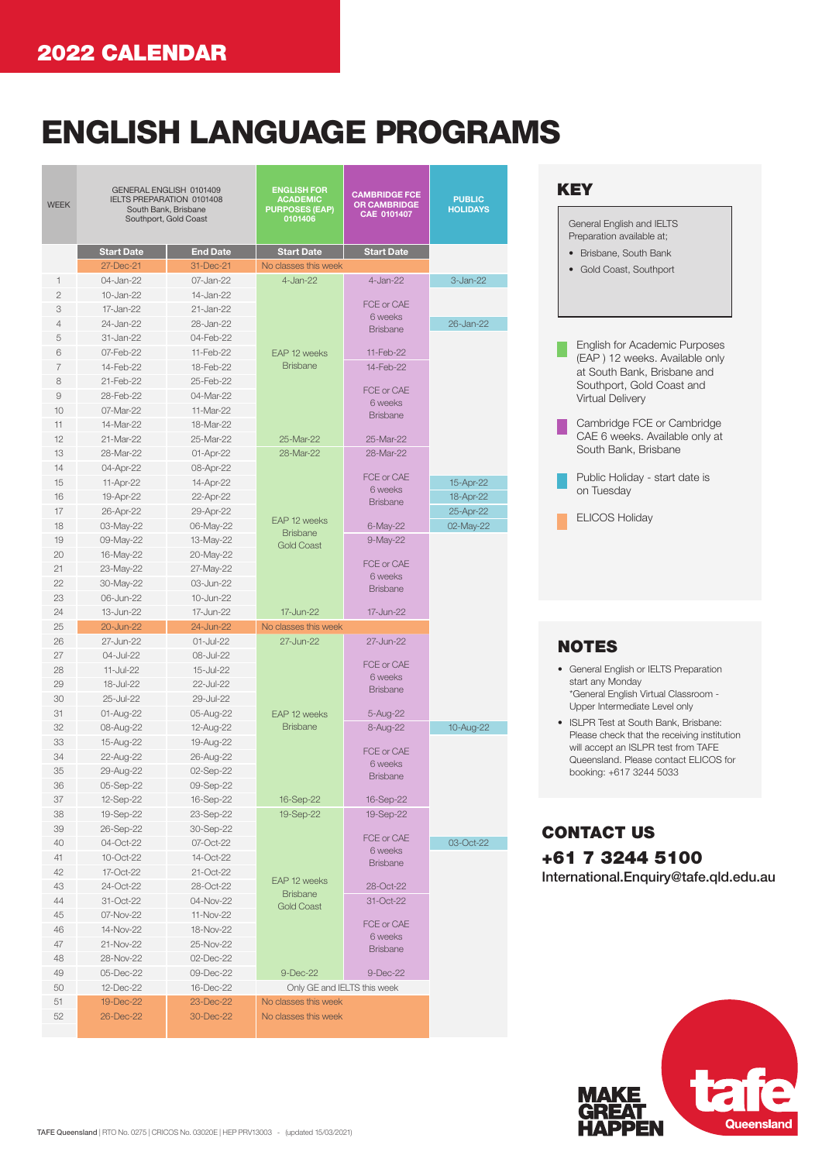# ENGLISH LANGUAGE PROGRAMS

| <b>WEEK</b>    | GENERAL ENGLISH 0101409<br>IELTS PREPARATION 0101408<br>South Bank, Brisbane<br>Southport, Gold Coast |                        | <b>ENGLISH FOR</b><br><b>ACADEMIC</b><br><b>PURPOSES (EAP)</b><br>0101406 | <b>CAMBRIDGE FCE</b><br><b>OR CAMBRIDGE</b><br>CAE 0101407 | <b>PUBLIC</b><br><b>HOLIDAYS</b> |
|----------------|-------------------------------------------------------------------------------------------------------|------------------------|---------------------------------------------------------------------------|------------------------------------------------------------|----------------------------------|
|                | <b>Start Date</b>                                                                                     | <b>End Date</b>        | <b>Start Date</b>                                                         | <b>Start Date</b>                                          |                                  |
|                | 27-Dec-21                                                                                             | 31-Dec-21              | No classes this week                                                      |                                                            |                                  |
| 1              | 04-Jan-22                                                                                             | 07-Jan-22              | 4-Jan-22                                                                  | 4-Jan-22                                                   | 3-Jan-22                         |
| $\overline{2}$ | 10-Jan-22                                                                                             | 14-Jan-22              |                                                                           | FCE or CAE                                                 |                                  |
| 3              | 17-Jan-22                                                                                             | 21-Jan-22              |                                                                           | 6 weeks                                                    |                                  |
| $\overline{4}$ | 24-Jan-22                                                                                             | 28-Jan-22              |                                                                           | <b>Brisbane</b>                                            | 26-Jan-22                        |
| 5              | 31-Jan-22                                                                                             | 04-Feb-22              |                                                                           |                                                            |                                  |
| 6              | 07-Feb-22                                                                                             | 11-Feb-22              | EAP 12 weeks<br><b>Brisbane</b>                                           | 11-Feb-22                                                  |                                  |
| $\overline{7}$ | 14-Feb-22                                                                                             | 18-Feb-22              |                                                                           | 14-Feb-22                                                  |                                  |
| 8<br>9         | 21-Feb-22<br>28-Feb-22                                                                                | 25-Feb-22<br>04-Mar-22 |                                                                           | FCE or CAE                                                 |                                  |
| 10             | 07-Mar-22                                                                                             | 11-Mar-22              |                                                                           | 6 weeks                                                    |                                  |
| 11             | 14-Mar-22                                                                                             | 18-Mar-22              |                                                                           | <b>Brisbane</b>                                            |                                  |
| 12             | 21-Mar-22                                                                                             | 25-Mar-22              | 25-Mar-22                                                                 | 25-Mar-22                                                  |                                  |
| 13             | 28-Mar-22                                                                                             | 01-Apr-22              | 28-Mar-22                                                                 | 28-Mar-22                                                  |                                  |
| 14             | 04-Apr-22                                                                                             | 08-Apr-22              |                                                                           |                                                            |                                  |
| 15             | 11-Apr-22                                                                                             | 14-Apr-22              |                                                                           | FCE or CAE                                                 | 15-Apr-22                        |
| 16             | 19-Apr-22                                                                                             | 22-Apr-22              |                                                                           | 6 weeks<br><b>Brisbane</b>                                 | 18-Apr-22                        |
| 17             | 26-Apr-22                                                                                             | 29-Apr-22              |                                                                           |                                                            | 25-Apr-22                        |
| 18             | 03-May-22                                                                                             | 06-May-22              | EAP 12 weeks                                                              | 6-May-22                                                   | 02-May-22                        |
| 19             | 09-May-22                                                                                             | 13-May-22              | <b>Brisbane</b><br><b>Gold Coast</b>                                      | 9-May-22                                                   |                                  |
| 20             | 16-May-22                                                                                             | 20-May-22              |                                                                           | FCE or CAE                                                 |                                  |
| 21             | 23-May-22                                                                                             | 27-May-22              |                                                                           | 6 weeks                                                    |                                  |
| 22             | 30-May-22                                                                                             | 03-Jun-22              |                                                                           | <b>Brisbane</b>                                            |                                  |
| 23             | 06-Jun-22                                                                                             | 10-Jun-22              |                                                                           |                                                            |                                  |
| 24             | 13-Jun-22                                                                                             | 17-Jun-22              | 17-Jun-22                                                                 | 17-Jun-22                                                  |                                  |
| 25             | 20-Jun-22                                                                                             | 24-Jun-22              | No classes this week                                                      |                                                            |                                  |
| 26             | 27-Jun-22                                                                                             | 01-Jul-22              | 27-Jun-22                                                                 | 27-Jun-22                                                  |                                  |
| 27<br>28       | 04-Jul-22<br>11-Jul-22                                                                                | 08-Jul-22<br>15-Jul-22 |                                                                           | FCE or CAE                                                 |                                  |
| 29             | 18-Jul-22                                                                                             | 22-Jul-22              |                                                                           | 6 weeks                                                    |                                  |
| 30             | 25-Jul-22                                                                                             | 29-Jul-22              |                                                                           | <b>Brisbane</b>                                            |                                  |
| 31             | 01-Aug-22                                                                                             | 05-Aug-22              | EAP 12 weeks                                                              | 5-Aug-22                                                   |                                  |
| 32             | 08-Aug-22                                                                                             | 12-Aug-22              | <b>Brisbane</b>                                                           | 8-Aug-22                                                   | 10-Aug-22                        |
| 33             | 15-Aug-22                                                                                             | 19-Aug-22              |                                                                           |                                                            |                                  |
| 34             | 22-Aug-22                                                                                             | 26-Aug-22              |                                                                           | FCE or CAE                                                 |                                  |
| 35             | 29-Aug-22                                                                                             | 02-Sep-22              |                                                                           | 6 weeks<br><b>Brisbane</b>                                 |                                  |
| 36             | 05-Sep-22                                                                                             | 09-Sep-22              |                                                                           |                                                            |                                  |
| 37             | 12-Sep-22                                                                                             | 16-Sep-22              | 16-Sep-22                                                                 | 16-Sep-22                                                  |                                  |
| 38             | 19-Sep-22                                                                                             | 23-Sep-22              | 19-Sep-22                                                                 | 19-Sep-22                                                  |                                  |
| 39             | 26-Sep-22                                                                                             | 30-Sep-22              |                                                                           |                                                            |                                  |
| 40             | 04-Oct-22                                                                                             | 07-Oct-22              |                                                                           | FCE or CAE<br>6 weeks                                      | 03-Oct-22                        |
| 41             | 10-Oct-22                                                                                             | 14-Oct-22              |                                                                           | <b>Brisbane</b>                                            |                                  |
| 42             | 17-Oct-22                                                                                             | 21-Oct-22              | EAP 12 weeks                                                              |                                                            |                                  |
| 43             | 24-Oct-22                                                                                             | 28-Oct-22              | <b>Brisbane</b>                                                           | 28-Oct-22                                                  |                                  |
| 44             | 31-Oct-22                                                                                             | 04-Nov-22              | <b>Gold Coast</b>                                                         | 31-Oct-22                                                  |                                  |
| 45             | 07-Nov-22                                                                                             | 11-Nov-22              |                                                                           | FCE or CAE                                                 |                                  |
| 46             | 14-Nov-22                                                                                             | 18-Nov-22              |                                                                           | 6 weeks                                                    |                                  |
| 47             | 21-Nov-22                                                                                             | 25-Nov-22              |                                                                           | <b>Brisbane</b>                                            |                                  |
| 48<br>49       | 28-Nov-22<br>05-Dec-22                                                                                | 02-Dec-22              | 9-Dec-22                                                                  | 9-Dec-22                                                   |                                  |
| 50             | 12-Dec-22                                                                                             | 09-Dec-22<br>16-Dec-22 | Only GE and IELTS this week                                               |                                                            |                                  |
| 51             | 19-Dec-22                                                                                             | 23-Dec-22              | No classes this week                                                      |                                                            |                                  |
| 52             | 26-Dec-22                                                                                             | 30-Dec-22              | No classes this week                                                      |                                                            |                                  |

### **KEY** General English and IELTS Preparation available at; • Brisbane, South Bank • Gold Coast, Southport **English for Academic Purposes** (EAP ) 12 weeks. Available only at South Bank, Brisbane and Southport, Gold Coast and Virtual Delivery **Cambridge FCE or Cambridge** CAE 6 weeks. Available only at South Bank, Brisbane Public Holiday - start date is on Tuesday ELICOS Holiday

#### **NOTES**

- General English or IELTS Preparation start any Monday \*General English Virtual Classroom - Upper Intermediate Level only
- ISLPR Test at South Bank, Brisbane: Please check that the receiving institution will accept an ISLPR test from TAFE Queensland. Please contact ELICOS for booking: +617 3244 5033

### CONTACT US +61 7 3244 5100 International.Enquiry@tafe.qld.edu.au